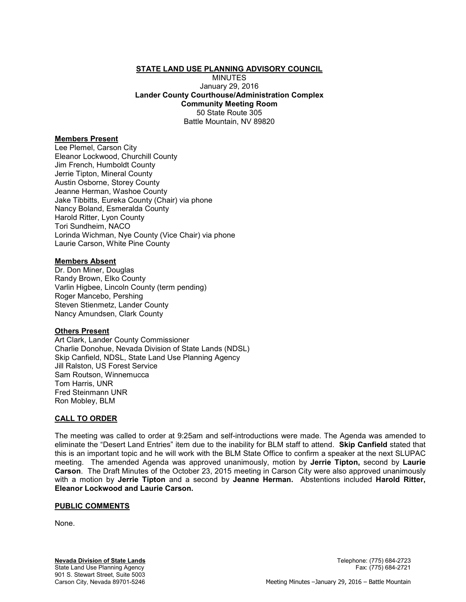#### **STATE LAND USE PLANNING ADVISORY COUNCIL**

MINUTES January 29, 2016 **Lander County Courthouse/Administration Complex Community Meeting Room**  50 State Route 305 Battle Mountain, NV 89820

#### **Members Present**

Lee Plemel, Carson City Eleanor Lockwood, Churchill County Jim French, Humboldt County Jerrie Tipton, Mineral County Austin Osborne, Storey County Jeanne Herman, Washoe County Jake Tibbitts, Eureka County (Chair) via phone Nancy Boland, Esmeralda County Harold Ritter, Lyon County Tori Sundheim, NACO Lorinda Wichman, Nye County (Vice Chair) via phone Laurie Carson, White Pine County

#### **Members Absent**

Dr. Don Miner, Douglas Randy Brown, Elko County Varlin Higbee, Lincoln County (term pending) Roger Mancebo, Pershing Steven Stienmetz, Lander County Nancy Amundsen, Clark County

#### **Others Present**

Art Clark, Lander County Commissioner Charlie Donohue, Nevada Division of State Lands (NDSL) Skip Canfield, NDSL, State Land Use Planning Agency Jill Ralston, US Forest Service Sam Routson, Winnemucca Tom Harris, UNR Fred Steinmann UNR Ron Mobley, BLM

#### **CALL TO ORDER**

The meeting was called to order at 9:25am and self-introductions were made. The Agenda was amended to eliminate the "Desert Land Entries" item due to the inability for BLM staff to attend. **Skip Canfield** stated that this is an important topic and he will work with the BLM State Office to confirm a speaker at the next SLUPAC meeting. The amended Agenda was approved unanimously, motion by **Jerrie Tipton,** second by **Laurie Carson**. The Draft Minutes of the October 23, 2015 meeting in Carson City were also approved unanimously with a motion by **Jerrie Tipton** and a second by **Jeanne Herman.** Abstentions included **Harold Ritter, Eleanor Lockwood and Laurie Carson.** 

#### **PUBLIC COMMENTS**

None.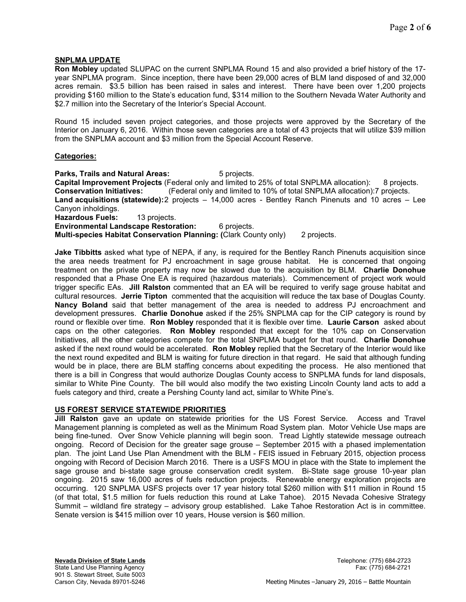# **SNPLMA UPDATE**

**Ron Mobley** updated SLUPAC on the current SNPLMA Round 15 and also provided a brief history of the 17 year SNPLMA program. Since inception, there have been 29,000 acres of BLM land disposed of and 32,000 acres remain. \$3.5 billion has been raised in sales and interest. There have been over 1,200 projects providing \$160 million to the State's education fund, \$314 million to the Southern Nevada Water Authority and \$2.7 million into the Secretary of the Interior's Special Account.

Round 15 included seven project categories, and those projects were approved by the Secretary of the Interior on January 6, 2016. Within those seven categories are a total of 43 projects that will utilize \$39 million from the SNPLMA account and \$3 million from the Special Account Reserve.

#### **Categories:**

**Parks, Trails and Natural Areas:** 5 projects. **Capital Improvement Projects** (Federal only and limited to 25% of total SNPLMA allocation): 8 projects. **Conservation Initiatives:** (Federal only and limited to 10% of total SNPLMA allocation):7 projects. **Land acquisitions (statewide):** 2 projects – 14,000 acres - Bentley Ranch Pinenuts and 10 acres – Lee Canyon inholdings. **Hazardous Fuels:** 13 projects.

**Environmental Landscape Restoration:** 6 projects.

**Multi-species Habitat Conservation Planning: (**Clark County only) 2 projects.

**Jake Tibbitts** asked what type of NEPA, if any, is required for the Bentley Ranch Pinenuts acquisition since the area needs treatment for PJ encroachment in sage grouse habitat. He is concerned that ongoing treatment on the private property may now be slowed due to the acquisition by BLM. **Charlie Donohue**  responded that a Phase One EA is required (hazardous materials). Commencement of project work would trigger specific EAs. **Jill Ralston** commented that an EA will be required to verify sage grouse habitat and cultural resources. **Jerrie Tipton** commented that the acquisition will reduce the tax base of Douglas County. **Nancy Boland** said that better management of the area is needed to address PJ encroachment and development pressures. **Charlie Donohue** asked if the 25% SNPLMA cap for the CIP category is round by round or flexible over time. **Ron Mobley** responded that it is flexible over time. **Laurie Carson** asked about caps on the other categories. **Ron Mobley** responded that except for the 10% cap on Conservation Initiatives, all the other categories compete for the total SNPLMA budget for that round. **Charlie Donohue**  asked if the next round would be accelerated. **Ron Mobley** replied that the Secretary of the Interior would like the next round expedited and BLM is waiting for future direction in that regard. He said that although funding would be in place, there are BLM staffing concerns about expediting the process. He also mentioned that there is a bill in Congress that would authorize Douglas County access to SNPLMA funds for land disposals, similar to White Pine County. The bill would also modify the two existing Lincoln County land acts to add a fuels category and third, create a Pershing County land act, similar to White Pine's.

# **US FOREST SERVICE STATEWIDE PRIORITIES**

**Jill Ralston** gave an update on statewide priorities for the US Forest Service. Access and Travel Management planning is completed as well as the Minimum Road System plan. Motor Vehicle Use maps are being fine-tuned. Over Snow Vehicle planning will begin soon. Tread Lightly statewide message outreach ongoing. Record of Decision for the greater sage grouse – September 2015 with a phased implementation plan. The joint Land Use Plan Amendment with the BLM - FEIS issued in February 2015, objection process ongoing with Record of Decision March 2016. There is a USFS MOU in place with the State to implement the sage grouse and bi-state sage grouse conservation credit system. Bi-State sage grouse 10-year plan ongoing. 2015 saw 16,000 acres of fuels reduction projects. Renewable energy exploration projects are occurring. 120 SNPLMA USFS projects over 17 year history total \$260 million with \$11 million in Round 15 (of that total, \$1.5 million for fuels reduction this round at Lake Tahoe). 2015 Nevada Cohesive Strategy Summit – wildland fire strategy – advisory group established. Lake Tahoe Restoration Act is in committee. Senate version is \$415 million over 10 years, House version is \$60 million.

**Nevada Division of State Lands** Telephone: (775) 684-2723 State Land Use Planning Agency Fax: (775) 684-2721 901 S. Stewart Street, Suite 5003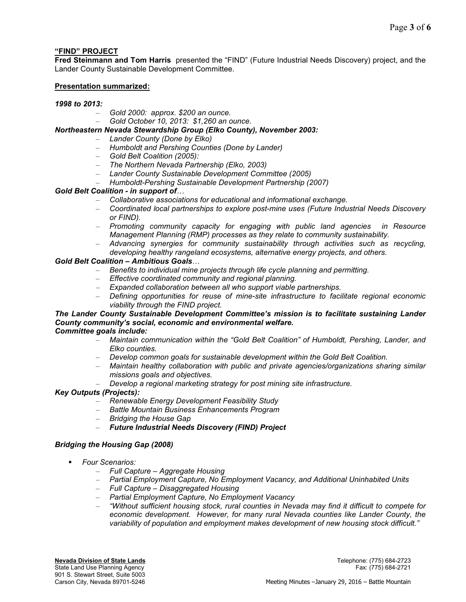# **"FIND" PROJECT**

**Fred Steinmann and Tom Harris** presented the "FIND" (Future Industrial Needs Discovery) project, and the Lander County Sustainable Development Committee.

# **Presentation summarized:**

# *1998 to 2013:*

- *Gold 2000: approx. \$200 an ounce.*
- *Gold October 10, 2013: \$1,260 an ounce.*

# *Northeastern Nevada Stewardship Group (Elko County), November 2003:*

- *Lander County (Done by Elko)*
- *Humboldt and Pershing Counties (Done by Lander)*
- *Gold Belt Coalition (2005):*
- *The Northern Nevada Partnership (Elko, 2003)*
- *Lander County Sustainable Development Committee (2005)*
- *Humboldt-Pershing Sustainable Development Partnership (2007)*

# *Gold Belt Coalition - in support of...*

- *Collaborative associations for educational and informational exchange.*
- *Coordinated local partnerships to explore post-mine uses (Future Industrial Needs Discovery or FIND).*
- *Promoting community capacity for engaging with public land agencies in Resource Management Planning (RMP) processes as they relate to community sustainability.*
- *Advancing synergies for community sustainability through activities such as recycling, developing healthy rangeland ecosystems, alternative energy projects, and others.*

# *Gold Belt Coalition – Ambitious Goals...*

- *Benefits to individual mine projects through life cycle planning and permitting.*
- *Effective coordinated community and regional planning.*
- *Expanded collaboration between all who support viable partnerships.*
- *Defining opportunities for reuse of mine-site infrastructure to facilitate regional economic viability through the FIND project.*

# *The Lander County Sustainable Development Committee's mission is to facilitate sustaining Lander County community's social, economic and environmental welfare.*

# *Committee goals include:*

- *Maintain communication within the "Gold Belt Coalition" of Humboldt, Pershing, Lander, and Elko counties.*
- *Develop common goals for sustainable development within the Gold Belt Coalition.*
- *Maintain healthy collaboration with public and private agencies/organizations sharing similar missions goals and objectives.*
- *Develop a regional marketing strategy for post mining site infrastructure.*

# *Key Outputs (Projects):*

- *Renewable Energy Development Feasibility Study*
- *Battle Mountain Business Enhancements Program*
- *Bridging the House Gap*
- *Future Industrial Needs Discovery (FIND) Project*

# *Bridging the Housing Gap (2008)*

- *Four Scenarios:* 
	- *Full Capture Aggregate Housing*
	- *Partial Employment Capture, No Employment Vacancy, and Additional Uninhabited Units*
	- *Full Capture Disaggregated Housing*
	- *Partial Employment Capture, No Employment Vacancy*
	- *"Without sufficient housing stock, rural counties in Nevada may find it difficult to compete for economic development. However, for many rural Nevada counties like Lander County, the variability of population and employment makes development of new housing stock difficult."*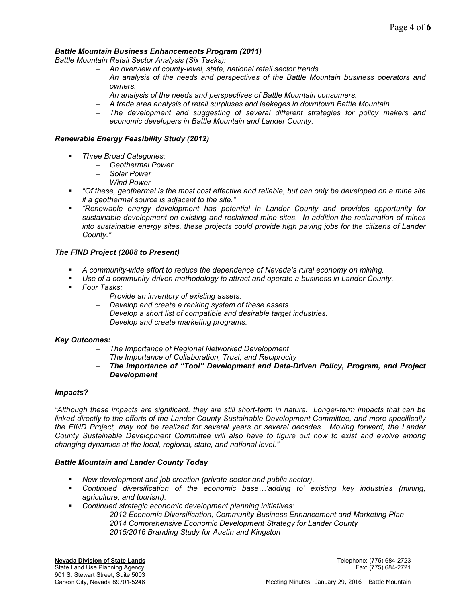# *Battle Mountain Business Enhancements Program (2011)*

*Battle Mountain Retail Sector Analysis (Six Tasks):*

- *An overview of county-level, state, national retail sector trends.*
- *An analysis of the needs and perspectives of the Battle Mountain business operators and owners.*
- *An analysis of the needs and perspectives of Battle Mountain consumers.*
- *A trade area analysis of retail surpluses and leakages in downtown Battle Mountain.*
- *The development and suggesting of several different strategies for policy makers and economic developers in Battle Mountain and Lander County.*

# *Renewable Energy Feasibility Study (2012)*

- *Three Broad Categories:* 
	- *Geothermal Power*
	- *Solar Power*
	- *Wind Power*
- *"Of these, geothermal is the most cost effective and reliable, but can only be developed on a mine site if a geothermal source is adjacent to the site."*
- *"Renewable energy development has potential in Lander County and provides opportunity for sustainable development on existing and reclaimed mine sites. In addition the reclamation of mines into sustainable energy sites, these projects could provide high paying jobs for the citizens of Lander County."*

# *The FIND Project (2008 to Present)*

- *A community-wide effort to reduce the dependence of Nevada's rural economy on mining.*
- **band** *Use of a community-driven methodology to attract and operate a business in Lander County.*
- *Four Tasks:* 
	- *Provide an inventory of existing assets.*
	- *Develop and create a ranking system of these assets.*
	- *Develop a short list of compatible and desirable target industries.*
	- *Develop and create marketing programs.*

# *Key Outcomes:*

- *The Importance of Regional Networked Development*
- *The Importance of Collaboration, Trust, and Reciprocity*
- *The Importance of "Tool" Development and Data-Driven Policy, Program, and Project Development*

# *Impacts?*

*"Although these impacts are significant, they are still short-term in nature. Longer-term impacts that can be linked directly to the efforts of the Lander County Sustainable Development Committee, and more specifically the FIND Project, may not be realized for several years or several decades. Moving forward, the Lander County Sustainable Development Committee will also have to figure out how to exist and evolve among changing dynamics at the local, regional, state, and national level."* 

# *Battle Mountain and Lander County Today*

- *New development and job creation (private-sector and public sector).*
- Continued diversification of the economic base...'adding to' existing key industries (mining, *agriculture, and tourism).*
- *Continued strategic economic development planning initiatives:* 
	- *2012 Economic Diversification, Community Business Enhancement and Marketing Plan*
	- *2014 Comprehensive Economic Development Strategy for Lander County*
	- *2015/2016 Branding Study for Austin and Kingston*

**Nevada Division of State Lands** Telephone: (775) 684-2723 State Land Use Planning Agency Fax: (775) 684-2721 901 S. Stewart Street, Suite 5003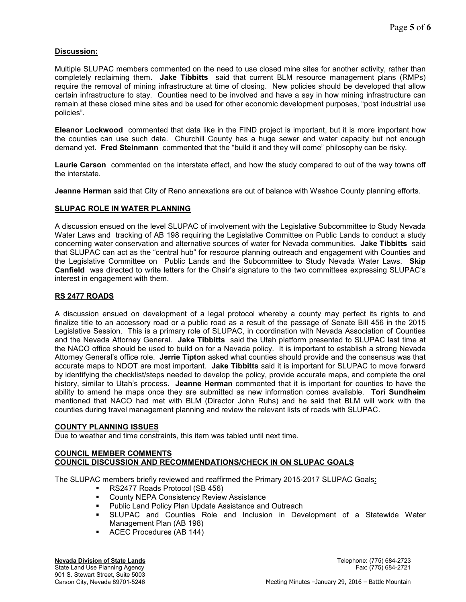# **Discussion:**

Multiple SLUPAC members commented on the need to use closed mine sites for another activity, rather than completely reclaiming them. **Jake Tibbitts** said that current BLM resource management plans (RMPs) require the removal of mining infrastructure at time of closing. New policies should be developed that allow certain infrastructure to stay. Counties need to be involved and have a say in how mining infrastructure can remain at these closed mine sites and be used for other economic development purposes, "post industrial use policies".

**Eleanor Lockwood** commented that data like in the FIND project is important, but it is more important how the counties can use such data. Churchill County has a huge sewer and water capacity but not enough demand yet. **Fred Steinmann** commented that the "build it and they will come" philosophy can be risky.

**Laurie Carson** commented on the interstate effect, and how the study compared to out of the way towns off the interstate.

**Jeanne Herman** said that City of Reno annexations are out of balance with Washoe County planning efforts.

# **SLUPAC ROLE IN WATER PLANNING**

A discussion ensued on the level SLUPAC of involvement with the Legislative Subcommittee to Study Nevada Water Laws and tracking of AB 198 requiring the Legislative Committee on Public Lands to conduct a study concerning water conservation and alternative sources of water for Nevada communities. **Jake Tibbitts** said that SLUPAC can act as the "central hub" for resource planning outreach and engagement with Counties and the Legislative Committee on Public Lands and the Subcommittee to Study Nevada Water Laws. **Skip Canfield** was directed to write letters for the Chair's signature to the two committees expressing SLUPAC's interest in engagement with them.

# **RS 2477 ROADS**

A discussion ensued on development of a legal protocol whereby a county may perfect its rights to and finalize title to an accessory road or a public road as a result of the passage of Senate Bill 456 in the 2015 Legislative Session. This is a primary role of SLUPAC, in coordination with Nevada Association of Counties and the Nevada Attorney General. **Jake Tibbitts** said the Utah platform presented to SLUPAC last time at the NACO office should be used to build on for a Nevada policy. It is important to establish a strong Nevada Attorney General's office role. **Jerrie Tipton** asked what counties should provide and the consensus was that accurate maps to NDOT are most important. **Jake Tibbitts** said it is important for SLUPAC to move forward by identifying the checklist/steps needed to develop the policy, provide accurate maps, and complete the oral history, similar to Utah's process. **Jeanne Herman** commented that it is important for counties to have the ability to amend he maps once they are submitted as new information comes available. **Tori Sundheim**  mentioned that NACO had met with BLM (Director John Ruhs) and he said that BLM will work with the counties during travel management planning and review the relevant lists of roads with SLUPAC.

# **COUNTY PLANNING ISSUES**

Due to weather and time constraints, this item was tabled until next time.

# **COUNCIL MEMBER COMMENTS COUNCIL DISCUSSION AND RECOMMENDATIONS/CHECK IN ON SLUPAC GOALS**

The SLUPAC members briefly reviewed and reaffirmed the Primary 2015-2017 SLUPAC Goals:

- **RS2477 Roads Protocol (SB 456)**<br>County NEPA Consistency Review
- County NEPA Consistency Review Assistance
- Public Land Policy Plan Update Assistance and Outreach
- SLUPAC and Counties Role and Inclusion in Development of a Statewide Water Management Plan (AB 198)
- ACEC Procedures (AB 144)

**Nevada Division of State Lands** Telephone: (775) 684-2723 State Land Use Planning Agency Fax: (775) 684-2721 901 S. Stewart Street, Suite 5003